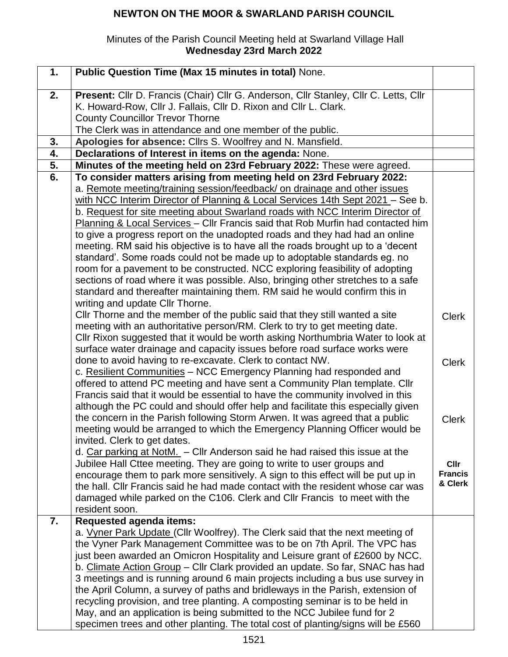## **NEWTON ON THE MOOR & SWARLAND PARISH COUNCIL**

## Minutes of the Parish Council Meeting held at Swarland Village Hall **Wednesday 23rd March 2022**

| 1. | Public Question Time (Max 15 minutes in total) None.                                                                                                      |                           |
|----|-----------------------------------------------------------------------------------------------------------------------------------------------------------|---------------------------|
| 2. | Present: Cllr D. Francis (Chair) Cllr G. Anderson, Cllr Stanley, Cllr C. Letts, Cllr                                                                      |                           |
|    | K. Howard-Row, Cllr J. Fallais, Cllr D. Rixon and Cllr L. Clark.                                                                                          |                           |
|    | <b>County Councillor Trevor Thorne</b>                                                                                                                    |                           |
|    | The Clerk was in attendance and one member of the public.                                                                                                 |                           |
| 3. | Apologies for absence: Cllrs S. Woolfrey and N. Mansfield.                                                                                                |                           |
| 4. | Declarations of Interest in items on the agenda: None.                                                                                                    |                           |
| 5. | Minutes of the meeting held on 23rd February 2022: These were agreed.                                                                                     |                           |
| 6. | To consider matters arising from meeting held on 23rd February 2022:                                                                                      |                           |
|    | a. Remote meeting/training session/feedback/ on drainage and other issues                                                                                 |                           |
|    | with NCC Interim Director of Planning & Local Services 14th Sept 2021 - See b.                                                                            |                           |
|    | b. Request for site meeting about Swarland roads with NCC Interim Director of                                                                             |                           |
|    | Planning & Local Services - Cllr Francis said that Rob Murfin had contacted him                                                                           |                           |
|    | to give a progress report on the unadopted roads and they had had an online                                                                               |                           |
|    | meeting. RM said his objective is to have all the roads brought up to a 'decent                                                                           |                           |
|    | standard'. Some roads could not be made up to adoptable standards eg. no                                                                                  |                           |
|    | room for a pavement to be constructed. NCC exploring feasibility of adopting                                                                              |                           |
|    | sections of road where it was possible. Also, bringing other stretches to a safe                                                                          |                           |
|    | standard and thereafter maintaining them. RM said he would confirm this in                                                                                |                           |
|    | writing and update CIIr Thorne.                                                                                                                           |                           |
|    | Cllr Thorne and the member of the public said that they still wanted a site<br>meeting with an authoritative person/RM. Clerk to try to get meeting date. | <b>Clerk</b>              |
|    | CIIr Rixon suggested that it would be worth asking Northumbria Water to look at                                                                           |                           |
|    | surface water drainage and capacity issues before road surface works were                                                                                 |                           |
|    | done to avoid having to re-excavate. Clerk to contact NW.                                                                                                 | <b>Clerk</b>              |
|    | c. Resilient Communities - NCC Emergency Planning had responded and                                                                                       |                           |
|    | offered to attend PC meeting and have sent a Community Plan template. Cllr                                                                                |                           |
|    | Francis said that it would be essential to have the community involved in this                                                                            |                           |
|    | although the PC could and should offer help and facilitate this especially given                                                                          |                           |
|    | the concern in the Parish following Storm Arwen. It was agreed that a public                                                                              | <b>Clerk</b>              |
|    | meeting would be arranged to which the Emergency Planning Officer would be                                                                                |                           |
|    | invited. Clerk to get dates.                                                                                                                              |                           |
|    | d. Car parking at NotM. $-$ Cllr Anderson said he had raised this issue at the                                                                            |                           |
|    | Jubilee Hall Cttee meeting. They are going to write to user groups and                                                                                    | Cllr                      |
|    | encourage them to park more sensitively. A sign to this effect will be put up in                                                                          | <b>Francis</b><br>& Clerk |
|    | the hall. Cllr Francis said he had made contact with the resident whose car was                                                                           |                           |
|    | damaged while parked on the C106. Clerk and Cllr Francis to meet with the                                                                                 |                           |
| 7. | resident soon.<br><b>Requested agenda items:</b>                                                                                                          |                           |
|    | a. Vyner Park Update (Cllr Woolfrey). The Clerk said that the next meeting of                                                                             |                           |
|    | the Vyner Park Management Committee was to be on 7th April. The VPC has                                                                                   |                           |
|    | just been awarded an Omicron Hospitality and Leisure grant of £2600 by NCC.                                                                               |                           |
|    | b. Climate Action Group - Cllr Clark provided an update. So far, SNAC has had                                                                             |                           |
|    | 3 meetings and is running around 6 main projects including a bus use survey in                                                                            |                           |
|    | the April Column, a survey of paths and bridleways in the Parish, extension of                                                                            |                           |
|    | recycling provision, and tree planting. A composting seminar is to be held in                                                                             |                           |
|    | May, and an application is being submitted to the NCC Jubilee fund for 2                                                                                  |                           |
|    | specimen trees and other planting. The total cost of planting/signs will be £560                                                                          |                           |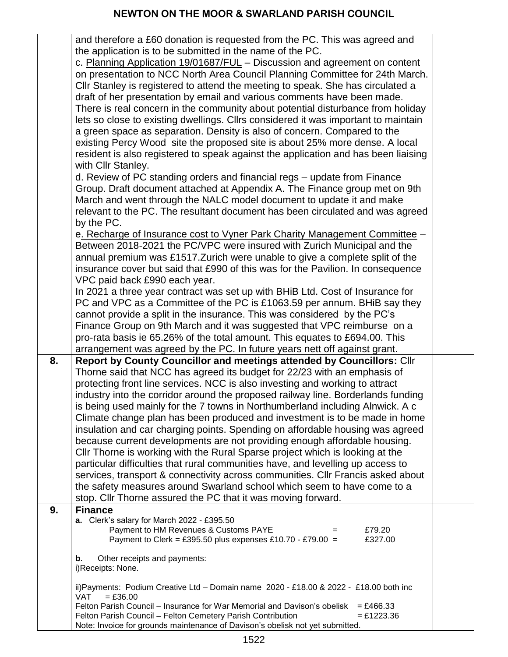|    | and therefore a £60 donation is requested from the PC. This was agreed and                                          |  |
|----|---------------------------------------------------------------------------------------------------------------------|--|
|    | the application is to be submitted in the name of the PC.                                                           |  |
|    | c. Planning Application 19/01687/FUL - Discussion and agreement on content                                          |  |
|    | on presentation to NCC North Area Council Planning Committee for 24th March.                                        |  |
|    | CIIr Stanley is registered to attend the meeting to speak. She has circulated a                                     |  |
|    | draft of her presentation by email and various comments have been made.                                             |  |
|    | There is real concern in the community about potential disturbance from holiday                                     |  |
|    | lets so close to existing dwellings. Cllrs considered it was important to maintain                                  |  |
|    | a green space as separation. Density is also of concern. Compared to the                                            |  |
|    | existing Percy Wood site the proposed site is about 25% more dense. A local                                         |  |
|    | resident is also registered to speak against the application and has been liaising                                  |  |
|    | with Cllr Stanley.                                                                                                  |  |
|    | d. Review of PC standing orders and financial regs - update from Finance                                            |  |
|    | Group. Draft document attached at Appendix A. The Finance group met on 9th                                          |  |
|    |                                                                                                                     |  |
|    | March and went through the NALC model document to update it and make                                                |  |
|    | relevant to the PC. The resultant document has been circulated and was agreed                                       |  |
|    | by the PC.                                                                                                          |  |
|    | e. Recharge of Insurance cost to Vyner Park Charity Management Committee -                                          |  |
|    | Between 2018-2021 the PC/VPC were insured with Zurich Municipal and the                                             |  |
|    | annual premium was £1517. Zurich were unable to give a complete split of the                                        |  |
|    | insurance cover but said that £990 of this was for the Pavilion. In consequence                                     |  |
|    | VPC paid back £990 each year.                                                                                       |  |
|    | In 2021 a three year contract was set up with BHiB Ltd. Cost of Insurance for                                       |  |
|    | PC and VPC as a Committee of the PC is £1063.59 per annum. BHiB say they                                            |  |
|    | cannot provide a split in the insurance. This was considered by the PC's                                            |  |
|    | Finance Group on 9th March and it was suggested that VPC reimburse on a                                             |  |
|    | pro-rata basis ie 65.26% of the total amount. This equates to £694.00. This                                         |  |
|    |                                                                                                                     |  |
|    | arrangement was agreed by the PC. In future years nett off against grant.                                           |  |
| 8. | Report by County Councillor and meetings attended by Councillors: Cllr                                              |  |
|    | Thorne said that NCC has agreed its budget for 22/23 with an emphasis of                                            |  |
|    | protecting front line services. NCC is also investing and working to attract                                        |  |
|    | industry into the corridor around the proposed railway line. Borderlands funding                                    |  |
|    | is being used mainly for the 7 towns in Northumberland including Alnwick. A c                                       |  |
|    | Climate change plan has been produced and investment is to be made in home                                          |  |
|    | insulation and car charging points. Spending on affordable housing was agreed                                       |  |
|    | because current developments are not providing enough affordable housing.                                           |  |
|    | CIIr Thorne is working with the Rural Sparse project which is looking at the                                        |  |
|    | particular difficulties that rural communities have, and levelling up access to                                     |  |
|    | services, transport & connectivity across communities. Cllr Francis asked about                                     |  |
|    | the safety measures around Swarland school which seem to have come to a                                             |  |
|    | stop. Cllr Thorne assured the PC that it was moving forward.                                                        |  |
| 9. | <b>Finance</b>                                                                                                      |  |
|    | a. Clerk's salary for March 2022 - £395.50                                                                          |  |
|    | Payment to HM Revenues & Customs PAYE<br>£79.20<br>$=$                                                              |  |
|    | Payment to Clerk = £395.50 plus expenses £10.70 - £79.00 =<br>£327.00                                               |  |
|    | Other receipts and payments:<br>b.                                                                                  |  |
|    | i)Receipts: None.                                                                                                   |  |
|    |                                                                                                                     |  |
|    | ii) Payments: Podium Creative Ltd - Domain name 2020 - £18.00 & 2022 - £18.00 both inc                              |  |
|    | <b>VAT</b><br>$= £36.00$<br>Felton Parish Council – Insurance for War Memorial and Davison's obelisk<br>$= £466.33$ |  |
|    | Felton Parish Council - Felton Cemetery Parish Contribution<br>$= £1223.36$                                         |  |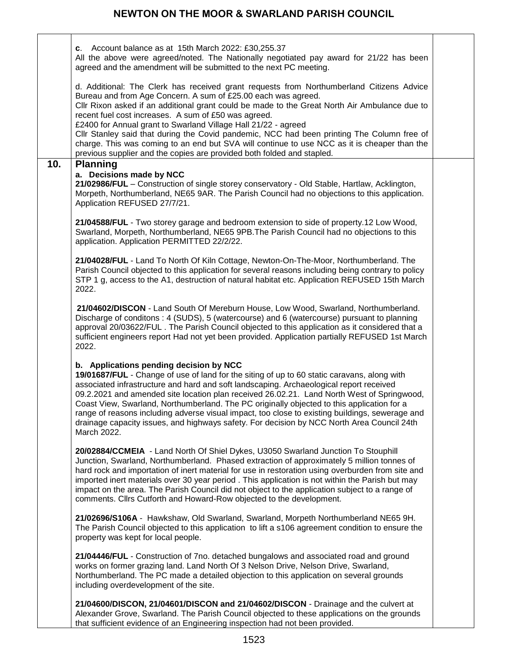Г

|     | c. Account balance as at $15th$ March 2022: £30,255.37<br>All the above were agreed/noted. The Nationally negotiated pay award for 21/22 has been<br>agreed and the amendment will be submitted to the next PC meeting.                                                                                                                                                                                                                                                                                                                                                                                                                                      |  |
|-----|--------------------------------------------------------------------------------------------------------------------------------------------------------------------------------------------------------------------------------------------------------------------------------------------------------------------------------------------------------------------------------------------------------------------------------------------------------------------------------------------------------------------------------------------------------------------------------------------------------------------------------------------------------------|--|
|     | d. Additional: The Clerk has received grant requests from Northumberland Citizens Advice<br>Bureau and from Age Concern. A sum of £25.00 each was agreed.<br>CIIr Rixon asked if an additional grant could be made to the Great North Air Ambulance due to<br>recent fuel cost increases. A sum of £50 was agreed.<br>£2400 for Annual grant to Swarland Village Hall 21/22 - agreed<br>Cllr Stanley said that during the Covid pandemic, NCC had been printing The Column free of<br>charge. This was coming to an end but SVA will continue to use NCC as it is cheaper than the<br>previous supplier and the copies are provided both folded and stapled. |  |
| 10. | <b>Planning</b><br>a. Decisions made by NCC<br>21/02986/FUL - Construction of single storey conservatory - Old Stable, Hartlaw, Acklington,<br>Morpeth, Northumberland, NE65 9AR. The Parish Council had no objections to this application.<br>Application REFUSED 27/7/21.                                                                                                                                                                                                                                                                                                                                                                                  |  |
|     | 21/04588/FUL - Two storey garage and bedroom extension to side of property.12 Low Wood,<br>Swarland, Morpeth, Northumberland, NE65 9PB. The Parish Council had no objections to this<br>application. Application PERMITTED 22/2/22.                                                                                                                                                                                                                                                                                                                                                                                                                          |  |
|     | 21/04028/FUL - Land To North Of Kiln Cottage, Newton-On-The-Moor, Northumberland. The<br>Parish Council objected to this application for several reasons including being contrary to policy<br>STP 1 g, access to the A1, destruction of natural habitat etc. Application REFUSED 15th March<br>2022.                                                                                                                                                                                                                                                                                                                                                        |  |
|     | 21/04602/DISCON - Land South Of Mereburn House, Low Wood, Swarland, Northumberland.<br>Discharge of conditons : 4 (SUDS), 5 (watercourse) and 6 (watercourse) pursuant to planning<br>approval 20/03622/FUL. The Parish Council objected to this application as it considered that a<br>sufficient engineers report Had not yet been provided. Application partially REFUSED 1st March<br>2022.                                                                                                                                                                                                                                                              |  |
|     | b. Applications pending decision by NCC<br>19/01687/FUL - Change of use of land for the siting of up to 60 static caravans, along with<br>associated infrastructure and hard and soft landscaping. Archaeological report received<br>09.2.2021 and amended site location plan received 26.02.21. Land North West of Springwood,<br>Coast View, Swarland, Northumberland. The PC originally objected to this application for a<br>range of reasons including adverse visual impact, too close to existing buildings, sewerage and<br>drainage capacity issues, and highways safety. For decision by NCC North Area Council 24th<br>March 2022.                |  |
|     | 20/02884/CCMEIA - Land North Of Shiel Dykes, U3050 Swarland Junction To Stouphill<br>Junction, Swarland, Northumberland. Phased extraction of approximately 5 million tonnes of<br>hard rock and importation of inert material for use in restoration using overburden from site and<br>imported inert materials over 30 year period. This application is not within the Parish but may<br>impact on the area. The Parish Council did not object to the application subject to a range of<br>comments. Cllrs Cutforth and Howard-Row objected to the development.                                                                                            |  |
|     | 21/02696/S106A - Hawkshaw, Old Swarland, Swarland, Morpeth Northumberland NE65 9H.<br>The Parish Council objected to this application to lift a s106 agreement condition to ensure the<br>property was kept for local people.                                                                                                                                                                                                                                                                                                                                                                                                                                |  |
|     | 21/04446/FUL - Construction of 7no. detached bungalows and associated road and ground<br>works on former grazing land. Land North Of 3 Nelson Drive, Nelson Drive, Swarland,<br>Northumberland. The PC made a detailed objection to this application on several grounds<br>including overdevelopment of the site.                                                                                                                                                                                                                                                                                                                                            |  |
|     | 21/04600/DISCON, 21/04601/DISCON and 21/04602/DISCON - Drainage and the culvert at<br>Alexander Grove, Swarland. The Parish Council objected to these applications on the grounds<br>that sufficient evidence of an Engineering inspection had not been provided.                                                                                                                                                                                                                                                                                                                                                                                            |  |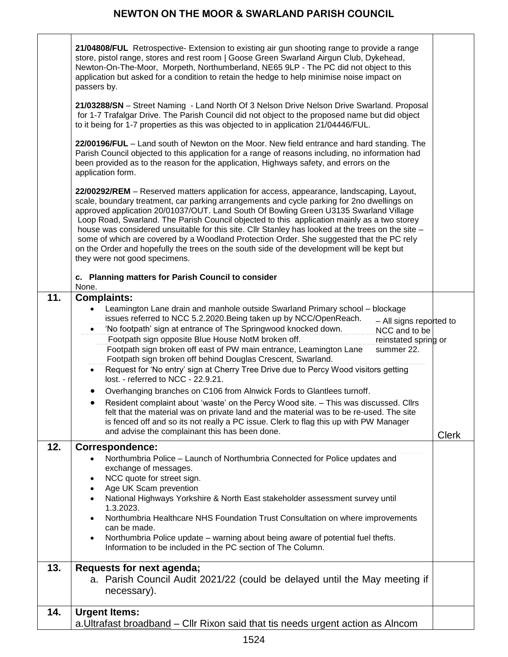## **NEWTON ON THE MOOR & SWARLAND PARISH COUNCIL**

|     | 21/04808/FUL Retrospective- Extension to existing air gun shooting range to provide a range<br>store, pistol range, stores and rest room   Goose Green Swarland Airgun Club, Dykehead,<br>Newton-On-The-Moor, Morpeth, Northumberland, NE65 9LP - The PC did not object to this<br>application but asked for a condition to retain the hedge to help minimise noise impact on<br>passers by.                                                                                                                                                                                                                                                                                                                                                                                                                                                                                                                                                                                                                                                                                         |              |
|-----|--------------------------------------------------------------------------------------------------------------------------------------------------------------------------------------------------------------------------------------------------------------------------------------------------------------------------------------------------------------------------------------------------------------------------------------------------------------------------------------------------------------------------------------------------------------------------------------------------------------------------------------------------------------------------------------------------------------------------------------------------------------------------------------------------------------------------------------------------------------------------------------------------------------------------------------------------------------------------------------------------------------------------------------------------------------------------------------|--------------|
|     | 21/03288/SN - Street Naming - Land North Of 3 Nelson Drive Nelson Drive Swarland. Proposal<br>for 1-7 Trafalgar Drive. The Parish Council did not object to the proposed name but did object<br>to it being for 1-7 properties as this was objected to in application 21/04446/FUL.                                                                                                                                                                                                                                                                                                                                                                                                                                                                                                                                                                                                                                                                                                                                                                                                  |              |
|     | 22/00196/FUL - Land south of Newton on the Moor. New field entrance and hard standing. The<br>Parish Council objected to this application for a range of reasons including, no information had<br>been provided as to the reason for the application, Highways safety, and errors on the<br>application form.                                                                                                                                                                                                                                                                                                                                                                                                                                                                                                                                                                                                                                                                                                                                                                        |              |
|     | 22/00292/REM - Reserved matters application for access, appearance, landscaping, Layout,<br>scale, boundary treatment, car parking arrangements and cycle parking for 2no dwellings on<br>approved application 20/01037/OUT. Land South Of Bowling Green U3135 Swarland Village<br>Loop Road, Swarland. The Parish Council objected to this application mainly as a two storey<br>house was considered unsuitable for this site. Cllr Stanley has looked at the trees on the site -<br>some of which are covered by a Woodland Protection Order. She suggested that the PC rely<br>on the Order and hopefully the trees on the south side of the development will be kept but<br>they were not good specimens.                                                                                                                                                                                                                                                                                                                                                                       |              |
|     | c. Planning matters for Parish Council to consider<br>None.                                                                                                                                                                                                                                                                                                                                                                                                                                                                                                                                                                                                                                                                                                                                                                                                                                                                                                                                                                                                                          |              |
| 11. | <b>Complaints:</b><br>Leamington Lane drain and manhole outside Swarland Primary school - blockage<br>$\bullet$<br>issues referred to NCC 5.2.2020. Being taken up by NCC/OpenReach.<br>- All signs reported to<br>'No footpath' sign at entrance of The Springwood knocked down.<br>NCC and to be<br>Footpath sign opposite Blue House NotM broken off.<br>reinstated spring or<br>Footpath sign broken off east of PW main entrance, Leamington Lane<br>summer 22.<br>Footpath sign broken off behind Douglas Crescent, Swarland.<br>Request for 'No entry' sign at Cherry Tree Drive due to Percy Wood visitors getting<br>$\bullet$<br>lost. - referred to NCC - 22.9.21.<br>Overhanging branches on C106 from Alnwick Fords to Glantlees turnoff.<br>Resident complaint about 'waste' on the Percy Wood site. - This was discussed. Cllrs<br>felt that the material was on private land and the material was to be re-used. The site<br>is fenced off and so its not really a PC issue. Clerk to flag this up with PW Manager<br>and advise the complainant this has been done. | <b>Clerk</b> |
| 12. | <b>Correspondence:</b><br>Northumbria Police - Launch of Northumbria Connected for Police updates and<br>exchange of messages.<br>NCC quote for street sign.<br>Age UK Scam prevention<br>National Highways Yorkshire & North East stakeholder assessment survey until<br>1.3.2023.<br>Northumbria Healthcare NHS Foundation Trust Consultation on where improvements<br>can be made.<br>Northumbria Police update – warning about being aware of potential fuel thefts.<br>Information to be included in the PC section of The Column.                                                                                                                                                                                                                                                                                                                                                                                                                                                                                                                                              |              |
| 13. | Requests for next agenda;<br>a. Parish Council Audit 2021/22 (could be delayed until the May meeting if<br>necessary).                                                                                                                                                                                                                                                                                                                                                                                                                                                                                                                                                                                                                                                                                                                                                                                                                                                                                                                                                               |              |
| 14. | <b>Urgent Items:</b><br>a. Ultrafast broadband – Cllr Rixon said that tis needs urgent action as Alncom                                                                                                                                                                                                                                                                                                                                                                                                                                                                                                                                                                                                                                                                                                                                                                                                                                                                                                                                                                              |              |
|     |                                                                                                                                                                                                                                                                                                                                                                                                                                                                                                                                                                                                                                                                                                                                                                                                                                                                                                                                                                                                                                                                                      |              |